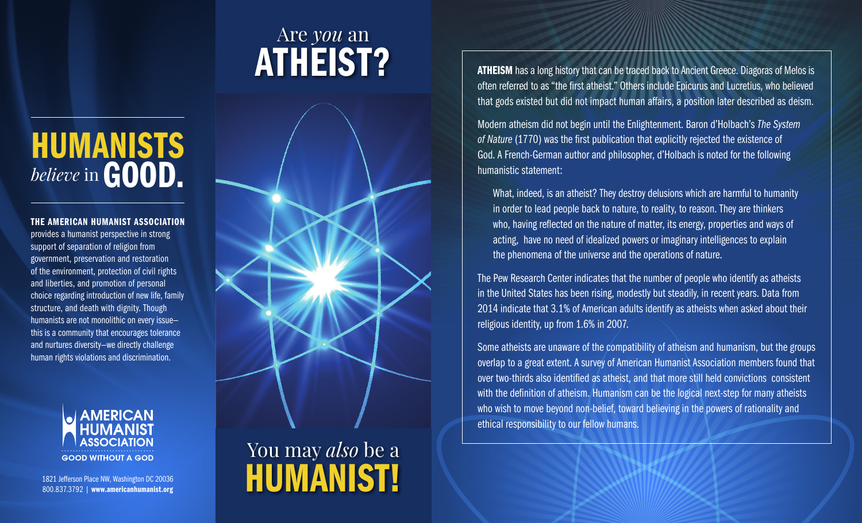## Are *you* an ATHEIST?

# HUMANISTS *believe* in GOOD.

#### THE AMERICAN HUMANIST ASSOCIATION

provides a humanist perspective in strong support of separation of religion from government, preservation and restoration of the environment, protection of civil rights and liberties, and promotion of personal choice regarding introduction of new life, family structure, and death with dignity. Though humanists are not monolithic on every issue this is a community that encourages tolerance and nurtures diversity—we directly challenge human rights violations and discrimination.



1821 Jefferson Place NW, Washington DC 20036 800.837.3792 | www.americanhumanist.org



## You may *also* be a HUMANIST!

ATHEISM has a long history that can be traced back to Ancient Greece. Diagoras of Melos is often referred to as "the first atheist." Others include Epicurus and Lucretius, who believed that gods existed but did not impact human affairs, a position later described as deism.

Modern atheism did not begin until the Enlightenment. Baron d'Holbach's *The System of Nature* (1770) was the first publication that explicitly rejected the existence of God. A French-German author and philosopher, d'Holbach is noted for the following humanistic statement:

What, indeed, is an atheist? They destroy delusions which are harmful to humanity in order to lead people back to nature, to reality, to reason. They are thinkers who, having reflected on the nature of matter, its energy, properties and ways of acting, have no need of idealized powers or imaginary intelligences to explain the phenomena of the universe and the operations of nature.

The Pew Research Center indicates that the number of people who identify as atheists in the United States has been rising, modestly but steadily, in recent years. Data from 2014 indicate that 3.1% of American adults identify as atheists when asked about their religious identity, up from 1.6% in 2007.

Some atheists are unaware of the compatibility of atheism and humanism, but the groups overlap to a great extent. A survey of American Humanist Association members found that over two-thirds also identified as atheist, and that more still held convictions consistent with the definition of atheism. Humanism can be the logical next-step for many atheists who wish to move beyond non-belief, toward believing in the powers of rationality and ethical responsibility to our fellow humans.